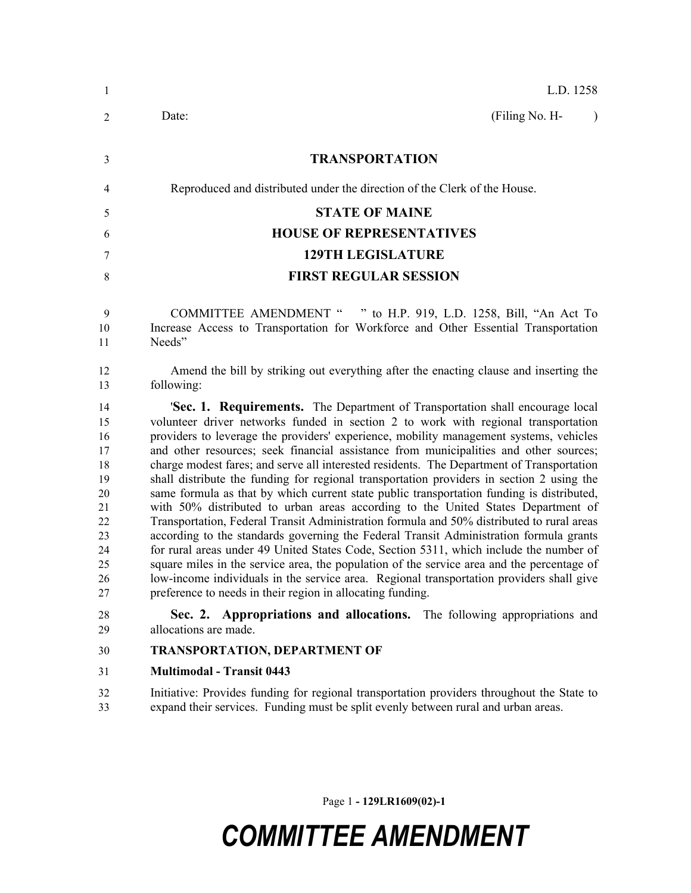| 1                                                                                | L.D. 1258                                                                                                                                                                                                                                                                                                                                                                                                                                                                                                                                                                                                                                                                                                                                                                                                                                                                                                                                                                                                                                                                                                                                                                                                                                                                  |  |  |  |
|----------------------------------------------------------------------------------|----------------------------------------------------------------------------------------------------------------------------------------------------------------------------------------------------------------------------------------------------------------------------------------------------------------------------------------------------------------------------------------------------------------------------------------------------------------------------------------------------------------------------------------------------------------------------------------------------------------------------------------------------------------------------------------------------------------------------------------------------------------------------------------------------------------------------------------------------------------------------------------------------------------------------------------------------------------------------------------------------------------------------------------------------------------------------------------------------------------------------------------------------------------------------------------------------------------------------------------------------------------------------|--|--|--|
| 2                                                                                | (Filing No. H-<br>Date:<br>$\mathcal{E}$                                                                                                                                                                                                                                                                                                                                                                                                                                                                                                                                                                                                                                                                                                                                                                                                                                                                                                                                                                                                                                                                                                                                                                                                                                   |  |  |  |
| $\mathfrak{Z}$                                                                   | <b>TRANSPORTATION</b>                                                                                                                                                                                                                                                                                                                                                                                                                                                                                                                                                                                                                                                                                                                                                                                                                                                                                                                                                                                                                                                                                                                                                                                                                                                      |  |  |  |
| 4                                                                                | Reproduced and distributed under the direction of the Clerk of the House.                                                                                                                                                                                                                                                                                                                                                                                                                                                                                                                                                                                                                                                                                                                                                                                                                                                                                                                                                                                                                                                                                                                                                                                                  |  |  |  |
| 5                                                                                | <b>STATE OF MAINE</b>                                                                                                                                                                                                                                                                                                                                                                                                                                                                                                                                                                                                                                                                                                                                                                                                                                                                                                                                                                                                                                                                                                                                                                                                                                                      |  |  |  |
| 6                                                                                | <b>HOUSE OF REPRESENTATIVES</b>                                                                                                                                                                                                                                                                                                                                                                                                                                                                                                                                                                                                                                                                                                                                                                                                                                                                                                                                                                                                                                                                                                                                                                                                                                            |  |  |  |
| 7                                                                                | <b>129TH LEGISLATURE</b>                                                                                                                                                                                                                                                                                                                                                                                                                                                                                                                                                                                                                                                                                                                                                                                                                                                                                                                                                                                                                                                                                                                                                                                                                                                   |  |  |  |
| 8                                                                                | <b>FIRST REGULAR SESSION</b>                                                                                                                                                                                                                                                                                                                                                                                                                                                                                                                                                                                                                                                                                                                                                                                                                                                                                                                                                                                                                                                                                                                                                                                                                                               |  |  |  |
| 9<br>10<br>11                                                                    | COMMITTEE AMENDMENT " " to H.P. 919, L.D. 1258, Bill, "An Act To<br>Increase Access to Transportation for Workforce and Other Essential Transportation<br>Needs"                                                                                                                                                                                                                                                                                                                                                                                                                                                                                                                                                                                                                                                                                                                                                                                                                                                                                                                                                                                                                                                                                                           |  |  |  |
| 12<br>13                                                                         | Amend the bill by striking out everything after the enacting clause and inserting the<br>following:                                                                                                                                                                                                                                                                                                                                                                                                                                                                                                                                                                                                                                                                                                                                                                                                                                                                                                                                                                                                                                                                                                                                                                        |  |  |  |
| 14<br>15<br>16<br>17<br>18<br>19<br>20<br>21<br>22<br>23<br>24<br>25<br>26<br>27 | 'Sec. 1. Requirements. The Department of Transportation shall encourage local<br>volunteer driver networks funded in section 2 to work with regional transportation<br>providers to leverage the providers' experience, mobility management systems, vehicles<br>and other resources; seek financial assistance from municipalities and other sources;<br>charge modest fares; and serve all interested residents. The Department of Transportation<br>shall distribute the funding for regional transportation providers in section 2 using the<br>same formula as that by which current state public transportation funding is distributed,<br>with 50% distributed to urban areas according to the United States Department of<br>Transportation, Federal Transit Administration formula and 50% distributed to rural areas<br>according to the standards governing the Federal Transit Administration formula grants<br>for rural areas under 49 United States Code, Section 5311, which include the number of<br>square miles in the service area, the population of the service area and the percentage of<br>low-income individuals in the service area. Regional transportation providers shall give<br>preference to needs in their region in allocating funding. |  |  |  |
| 28<br>29                                                                         | Sec. 2. Appropriations and allocations. The following appropriations and<br>allocations are made.                                                                                                                                                                                                                                                                                                                                                                                                                                                                                                                                                                                                                                                                                                                                                                                                                                                                                                                                                                                                                                                                                                                                                                          |  |  |  |
| 30                                                                               | <b>TRANSPORTATION, DEPARTMENT OF</b>                                                                                                                                                                                                                                                                                                                                                                                                                                                                                                                                                                                                                                                                                                                                                                                                                                                                                                                                                                                                                                                                                                                                                                                                                                       |  |  |  |

**Multimodal - Transit 0443**

 Initiative: Provides funding for regional transportation providers throughout the State to expand their services. Funding must be split evenly between rural and urban areas.

Page 1 **- 129LR1609(02)-1**

## *COMMITTEE AMENDMENT*